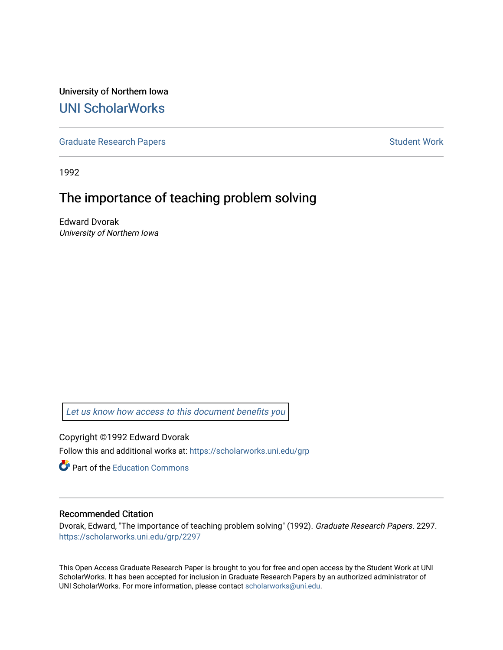University of Northern Iowa [UNI ScholarWorks](https://scholarworks.uni.edu/) 

[Graduate Research Papers](https://scholarworks.uni.edu/grp) **Student Work** Student Work

1992

# The importance of teaching problem solving

Edward Dvorak University of Northern Iowa

[Let us know how access to this document benefits you](https://scholarworks.uni.edu/feedback_form.html) 

Copyright ©1992 Edward Dvorak Follow this and additional works at: [https://scholarworks.uni.edu/grp](https://scholarworks.uni.edu/grp?utm_source=scholarworks.uni.edu%2Fgrp%2F2297&utm_medium=PDF&utm_campaign=PDFCoverPages) 

**C** Part of the [Education Commons](http://network.bepress.com/hgg/discipline/784?utm_source=scholarworks.uni.edu%2Fgrp%2F2297&utm_medium=PDF&utm_campaign=PDFCoverPages)

## Recommended Citation

Dvorak, Edward, "The importance of teaching problem solving" (1992). Graduate Research Papers. 2297. [https://scholarworks.uni.edu/grp/2297](https://scholarworks.uni.edu/grp/2297?utm_source=scholarworks.uni.edu%2Fgrp%2F2297&utm_medium=PDF&utm_campaign=PDFCoverPages) 

This Open Access Graduate Research Paper is brought to you for free and open access by the Student Work at UNI ScholarWorks. It has been accepted for inclusion in Graduate Research Papers by an authorized administrator of UNI ScholarWorks. For more information, please contact [scholarworks@uni.edu.](mailto:scholarworks@uni.edu)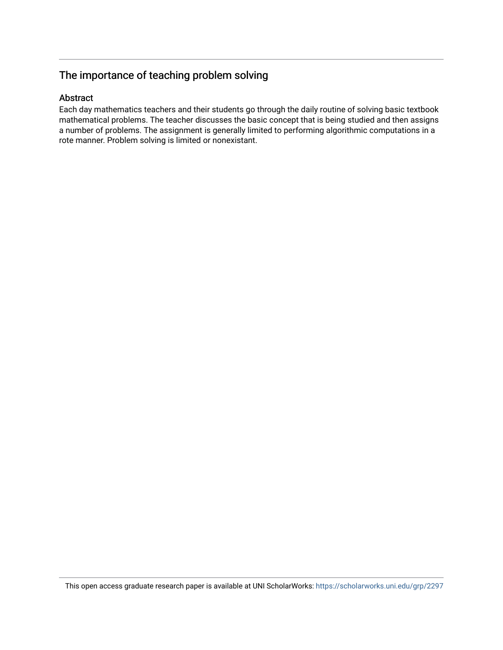## The importance of teaching problem solving

## Abstract

Each day mathematics teachers and their students go through the daily routine of solving basic textbook mathematical problems. The teacher discusses the basic concept that is being studied and then assigns a number of problems. The assignment is generally limited to performing algorithmic computations in a rote manner. Problem solving is limited or nonexistant.

This open access graduate research paper is available at UNI ScholarWorks: <https://scholarworks.uni.edu/grp/2297>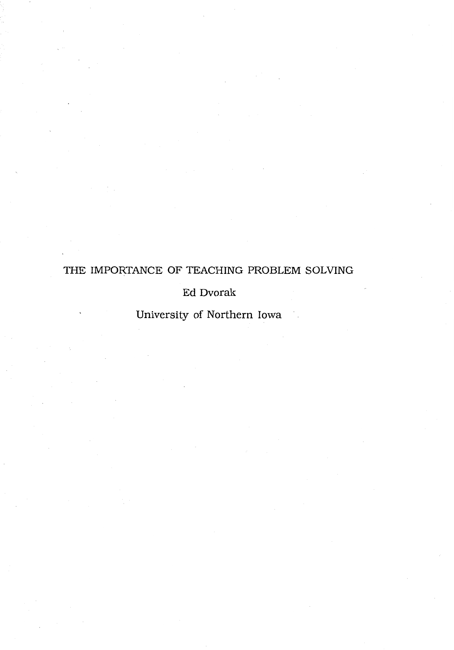## THE IMPORTANCE OF TEACHING PROBLEM SOLVING

## Ed Dvorak

University of Northern Iowa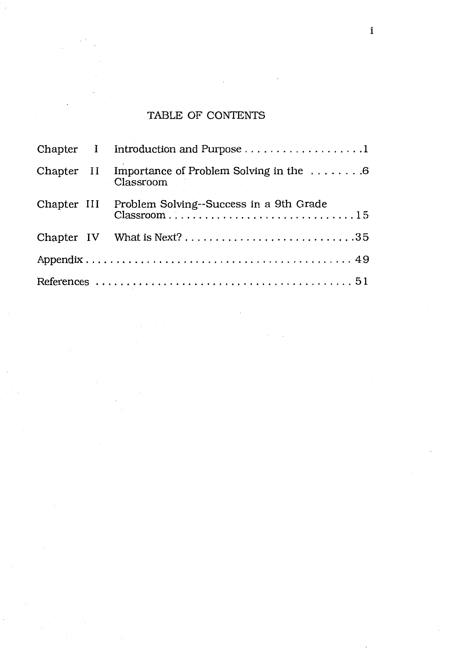## TABLE OF CONTENTS

|  |  | Chapter I Introduction and Purpose 1                                         |  |  |
|--|--|------------------------------------------------------------------------------|--|--|
|  |  | Chapter II Importance of Problem Solving in the $\dots \dots 6$<br>Classroom |  |  |
|  |  | Chapter III Problem Solving--Success in a 9th Grade                          |  |  |
|  |  | Chapter IV What is Next?35                                                   |  |  |
|  |  |                                                                              |  |  |
|  |  |                                                                              |  |  |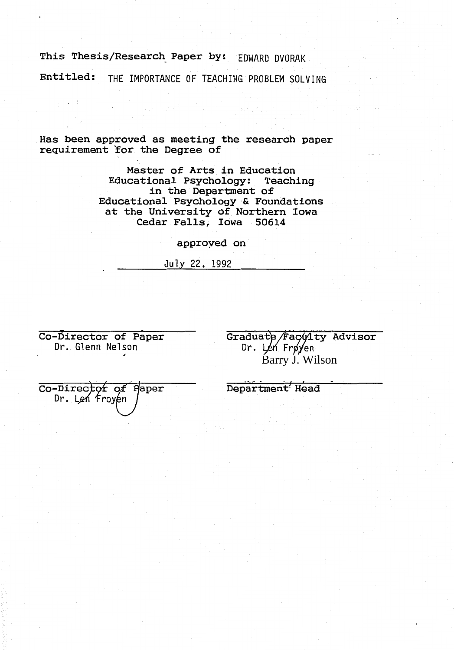## **This Thesis/Research\_ Paper by:** EDWARD DVORAK

**Entitled:** THE IMPORTANCE OF TEACHING PROBLEM SOLVING

Has been approved as meeting the research paper requirement for the Degree of

> Master of Arts in Education Educational Psychology: Teaching in the Department of Educational Psychology & Foundations at the University of Northern Iowa Cedar Falls, Iowa 50614

> > approyed on

July 22, 1992

Co-Director of Paper Dr. Glenn Nelson

Graduate/Fac01ty Advisor  $Dr.$  Len Frøyen Barry J. Wilson

Department' Head

Co-Director of Haper Dr. Len Froyen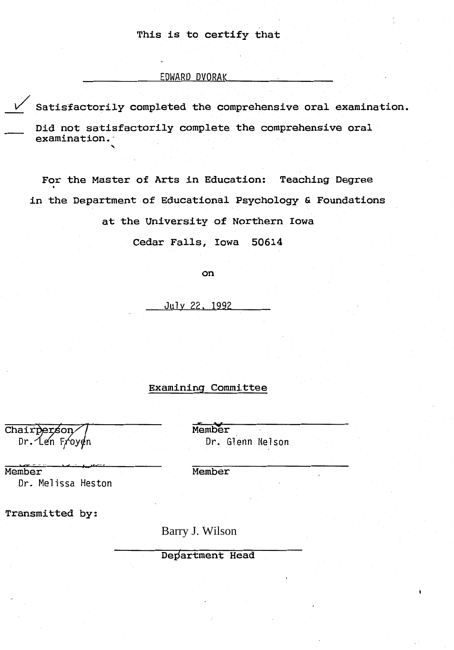### This is to certify that

#### EDWARD DVORAK

Satisfactorily completed the comprehensive oral examination.

Did not satisfactorily complete the comprehensive oral examination.

For the Master of Arts in Education: Teaching Degree in the Department of Educational Psychology & Foundations

at the University of Northern Iowa

Cedar Falls, Iowa 50614

on

July 22, 1992

#### Examining Committee

Chairperson Dr.⁄Le⁄n Froy∉n Member Dr. Glenn Nelson

Member Member

Dr. Melissa Heston

Transmitted by:

Barry J. Wilson

Department Head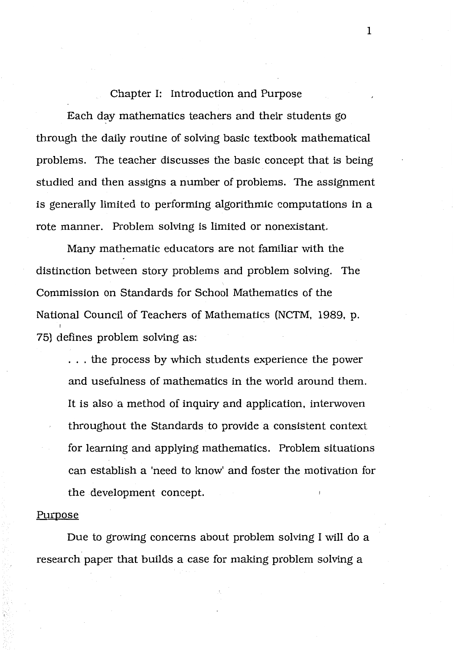## Chapter I: Introduction and Purpose

Each day mathematics teachers and their students go through the daily routine of solving basic textbook mathematical problems. The teacher discusses the basic concept that is being studied and then assigns a number of problems. The assignment is generally limited to performing algorithmic computations in a rote manner. Problem solving is limited or nonexistant.

Many mathematic educators are not familiar with the distinction between story problems and problem solving. The Commission on Standards for School Mathematics of the National Council of Teachers of Mathematics (NCTM, 1989, p. 75) defines problem solving as:

. . . the process by which students experience the power and usefulness of mathematics in the world around them. It is also a method of inquiry and application, interwoven throughout the Standards to provide a consistent context for learning and applying mathematics. Problem situations can establish a 'need to know' and foster the motivation for the development concept.

#### Purpose

Due to growing concerns about problem solving I will do a research paper that builds a case for making problem solving a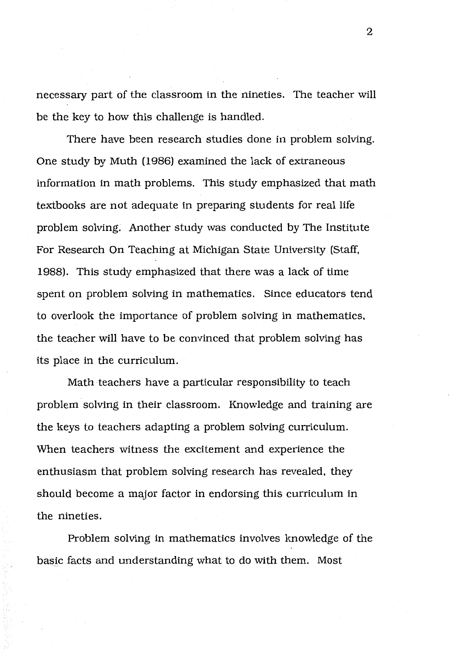necessary part of the classroom in the nineties. The teacher will be the key to how this challenge is handled.

There have been research studies done in problem solving. One study by Muth (1986) examined the lack of extraneous information in math problems. This study emphasized that math textbooks are not adequate in preparing students for real life problem solving. Another study was conducted by The Institute For Research On Teaching at Michigan State University (Staff, 1988). This study emphasized that there was a lack of time spent on problem solving in mathematics. Since educators tend to overlook the importance of problem solving in mathematics, the teacher will have to be convinced that problem solving has its place in the curriculum.

Math teachers have a particular responsibility to teach problem solving in their classroom. Knowledge and training are the keys to teachers adapting a problem solving curriculum. When teachers witness the excitement and experience the enthusiasm that problem solving research has revealed, they should become a major factor in endorsing this curriculum in the nineties.

Problem solving in mathematics involves knowledge of the basic facts and understanding what to do with them. Most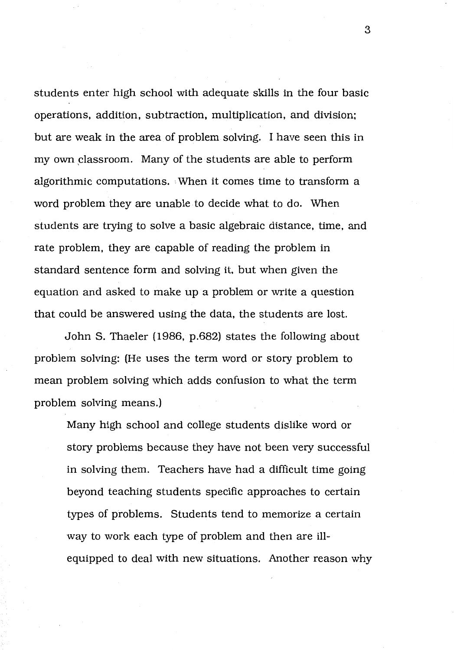students enter high school with adequate skills in the four basic operations, addition, subtraction, multiplication, and division; but are weak in the area of problem solving. I have seen this in my own classroom. Many of the students are able to perform algorithmic computations. When it comes time to transform a word problem they are unable to decide what to do. When students are trying to solve a basic algebraic distance, time, and rate problem, they are capable of reading the problem in standard sentence form and solving it, but when given the equation and asked to make up a problem or write a question that could be answered using the data, the students are lost.

John S. Thaeler (1986, p.682) states the following about problem solving: (He uses the term word or story problem to mean problem solving which adds confusion to what the term problem solving means.)

Many high school and college students dislike word or story problems because they have not been very successful in solving them. Teachers have had a difficult time going beyond teaching students specific approaches to certain types of problems. Students tend to memorize a certain way to work each type of problem and then are illequipped to deal with new situations. Another reason why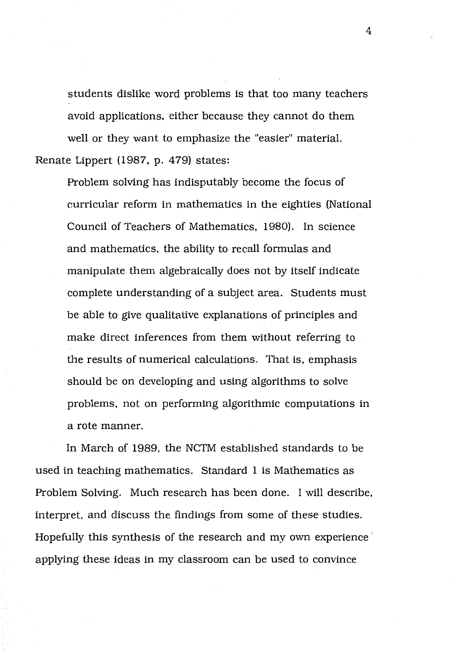students dislike word problems is that too many teachers avoid applications, either because they cannot do them well or they want to emphasize the "easier" material. Renate Lippert (1987, p. 479) states:

Problem solving has indisputably become the focus of curricular reform in mathematics in the eighties (National Council of Teachers of Mathematics, 1980). In science and mathematics, the ability to recall formulas and manipulate them algebraically does not by itself indicate complete understanding of a subject area. Students must be able to give qualitative explanations of principles and make direct inferences from them without referring to the results of numerical calculations. That is, emphasis should be on developing and using algorithms to solve problems, not on performing algorithmic computations in a rote manner.

In March of 1989, the NCTM established standards to be used in teaching mathematics. Standard 1 is Mathematics as Problem Solving. Much research has been done. I will describe, interpret, and discuss the findings from some of these studies. Hopefully this synthesis of the research and my own experience applying these ideas in my classroom can be used to convince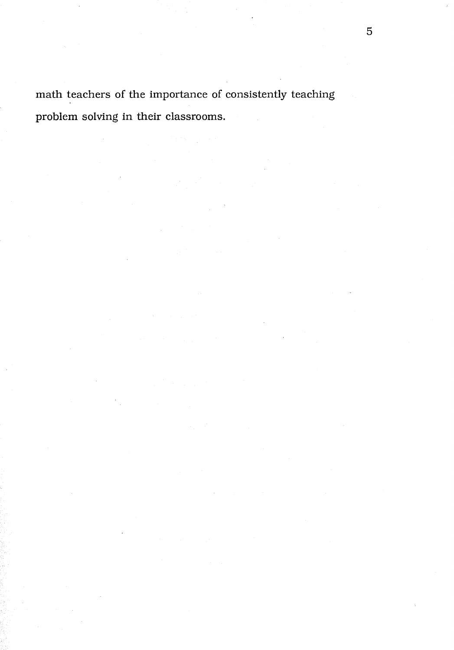math teachers of the importance of consistently teaching problem solving in their classrooms.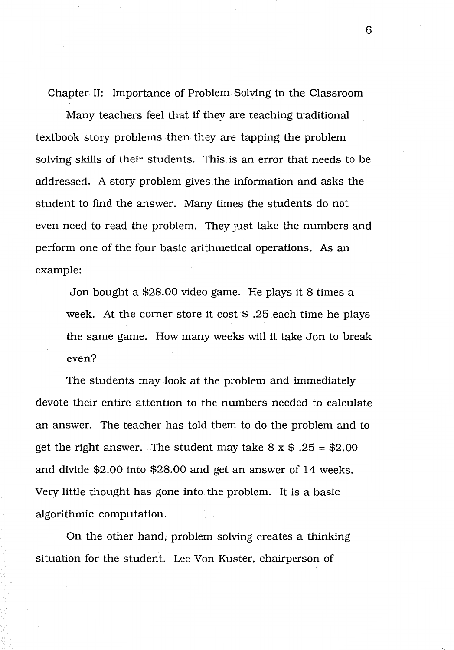Chapter II: Importance of Problem Solving in the Classroom

Many teachers feel that if they are teaching traditional textbook story problems then they are tapping the problem solving skills of their students. This is an error that needs to be addressed. A story problem gives the information and asks the student to find the answer. Many times the students do not even need to read the problem. They just take the numbers and perform one of the four basic arithmetical operations. As an example:

Jon bought a \$28.00 video game. He plays it 8 times a week. At the corner store it cost \$ .25 each time he plays the same game. How many weeks will it take Jon to break even?

The students may look at the problem and immediately devote their entire attention to the numbers needed to calculate an answer. The teacher has told them to do the problem and to get the right answer. The student may take  $8 \times $.25 = $2.00$ and divide \$2.00 into \$28.00 and get an answer of 14 weeks. Very little thought has gone into the problem. It is a basic algorithmic computation.

On the other hand, problem solving creates a thinking situation for the student. Lee Von Kuster, chairperson of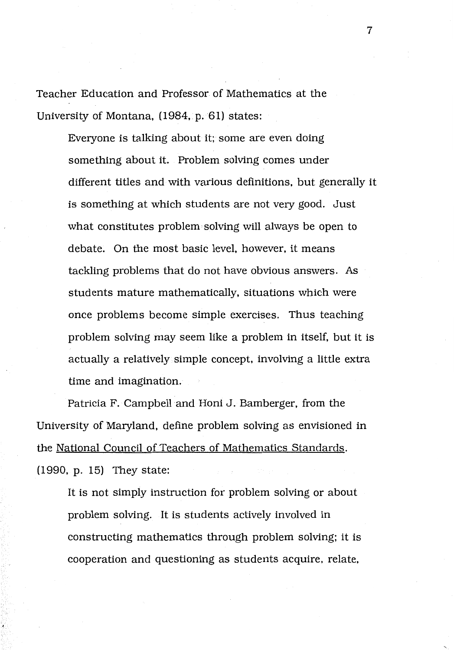Teacher Education and Professor of Mathematics at the University of Montana, (1984, p. 61) states:

> Everyone is talking about it; some are even doing something about it. Problem solving comes under different titles and with various definitions, but generally it is something at which students are not very good. Just what constitutes problem solving will always be open to debate. On the most basic level, however, it means tackling problems that do not have obvious answers. As students mature mathematically, situations which were once problems become simple exercises. Thus teaching problem solving may seem like a problem in itself, but it is actually a relatively simple concept, involving a little extra time and imagination.

Patricia F. Campbell and Honi J. Bamberger, from the University of Maryland, define problem solving as envisioned in the National Council of Teachers of Mathematics Standards. (1990, p. 15) They state:

It is not simply instruction for problem solving or about problem solving. It is students actively involved in constructing mathematics through problem solving; it is cooperation and questioning as students acquire, relate,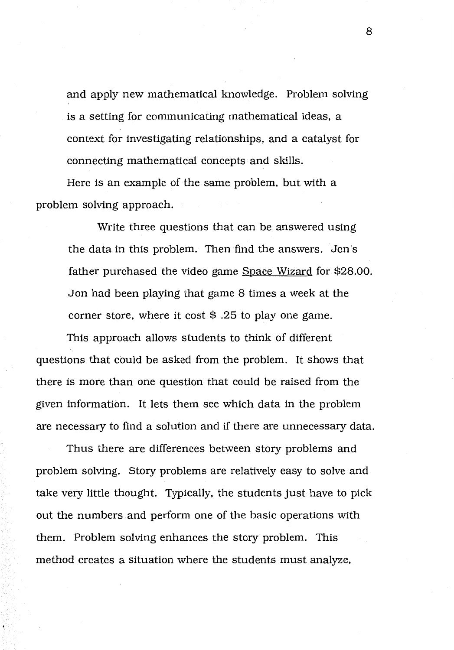and apply new mathematical knowledge. Problem solving is a setting for communicating mathematical ideas, a context for investigating relationships, and a catalyst for connecting mathematical concepts and skills.

Here is an example of the same problem, but with a problem solving approach.

> Write three questions that can be answered using the data in this problem. Then find the answers. Jon's father purchased the video game Space Wizard for \$28.00. Jon had been playing that game 8 times a week at the corner store, where it cost  $\frac{1}{2}$ . 25 to play one game.

This approach allows students to think of different questions that could be asked from the problem. It shows that there is more than one question that could be raised from the given information. It lets them see which data in the problem are necessary to find a solution and if there are unnecessary data.

Thus there are differences between story problems and problem solving. Story problems are relatively easy to solve and take very little thought. Typically, the students just have to pick out the numbers and perform one of the basic operations with them. Problem solving enhances the story problem. This method creates a situation where the students must analyze.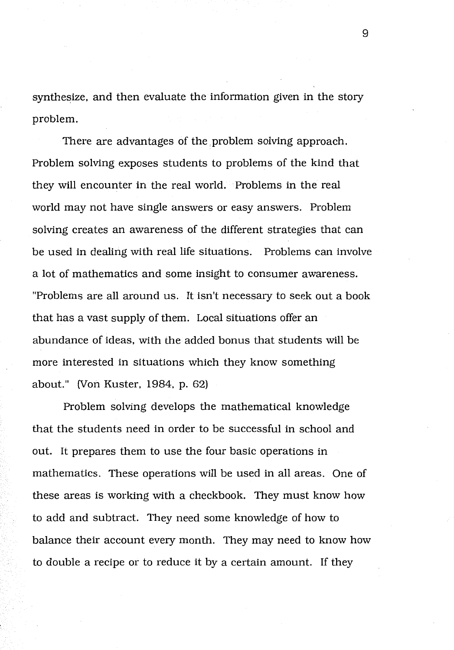synthesize, and then evaluate the information given in the story problem.

There are advantages of the problem solving approach. Problem solving exposes students to problems of the kind that they will encounter in the real world. Problems in the real world may not have single answers or easy answers. Problem solving creates an awareness of the different strategies that can be used in dealing with real life situations. Problems can involve a lot of mathematics and some insight to consumer awareness. "Problems are all around us. It isn't necessary to seek out a book that has a vast supply of them. Local situations offer an abundance of ideas, with the added bonus that students will be more interested in situations which they know something about." (Von Kuster, 1984, p. 62)

Problem solving develops the mathematical knowledge that the students need in order to be successful in school and out. It prepares them to use the four basic operations in mathematics. These operations will be used in all areas. One of these areas is working with a checkbook. They must know how to add and subtract. They need some knowledge of how to balance their account every month. They may need to know how to double a recipe or to reduce it by a certain amount. If they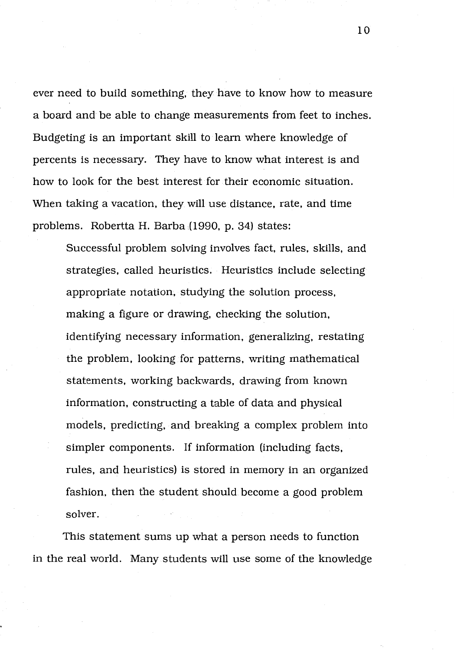ever need to build something, they have to know how to measure a board and be able to change measurements from feet to inches. Budgeting is an important skill to learn where knowledge of percents is necessary. They have to know what interest is and how to look for the best interest for their economic situation. When taking a vacation, they will use distance, rate, and time problems. Robertta H. Barba (1990, p. 34) states:

Successful problem solving involves fact, rules, skills, and strategies, called heuristics. Heuristics include selecting appropriate notation, studying the solution process, making a figure or drawing, checking the solution, identifying necessary information, generalizing, restating the problem, looking for patterns, writing mathematical statements, working backwards, drawing from known information, constructing a table of data and physical models, predicting, and breaking a complex problem into simpler components. If information (including facts, rules, and heuristics) is stored in memory in an organized fashion, then the student should become a good problem solver.

This statement sums up what a person needs to function in the real world. Many students will use some of the knowledge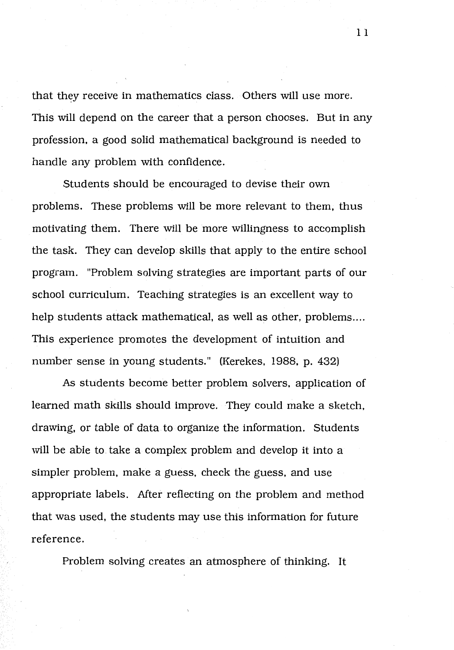that they receive in mathematics class. Others will use more. This will depend on the career that a person chooses. But in any profession, a good solid mathematical background is needed to handle any problem with confidence.

Students should be encouraged to devise their own problems. These problems will be more relevant to them, thus motivating them. There will be more willingness to accomplish the task. They can develop skills that apply to the entire school program. "Problem solving strategies are important parts of our school curriculum. Teaching strategies is an excellent way to help students attack mathematical, as well as other, problems.... This experience promotes the development of intuition and number sense in young students." (Kerekes, 1988, p. 432)

As students become better problem solvers, application of learned math skills should improve. They could make a sketch, drawing, or table of data to organize the information. Students will be able to take a complex problem and develop it into a simpler problem, make a guess, check the guess, and use appropriate labels. After reflecting on the problem and method that was used, the students may use this information for future reference.

Problem solving creates an atmosphere of thinking. It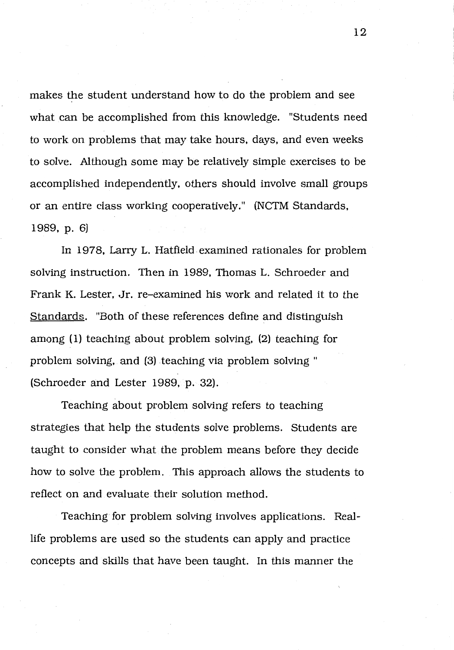makes the student understand how to do the problem and see what can be accomplished from this knowledge. "Students need to work on problems that may take hours, days, and even weeks to solve. Although some may be relatively simple exercises to be accomplished independently, others should involve small groups or an entire class working cooperatively." (NCTM Standards, 1989, p. 6)

In 1978, Larry L. Hatfield examined rationales for problem solving instruction. Then in 1989, Thomas L. Schroeder and Frank K. Lester, Jr. re-examined his work and related it to the Standards. "Both of these references define and distinguish among (1) teaching about problem solving, (2) teaching for problem solving, and (3) teaching via problem solving " (Schroeder and Lester 1989, p. 32).

Teaching about problem solving refers to teaching strategies that help the students solve problems. Students are taught to consider what the problem means before they decide how to solve the problem. This approach allows the students to reflect on and evaluate their solution method.

Teaching for problem solving involves applications. Reallife problems are used so the students can apply and practice concepts and skills that have been taught. In this manner the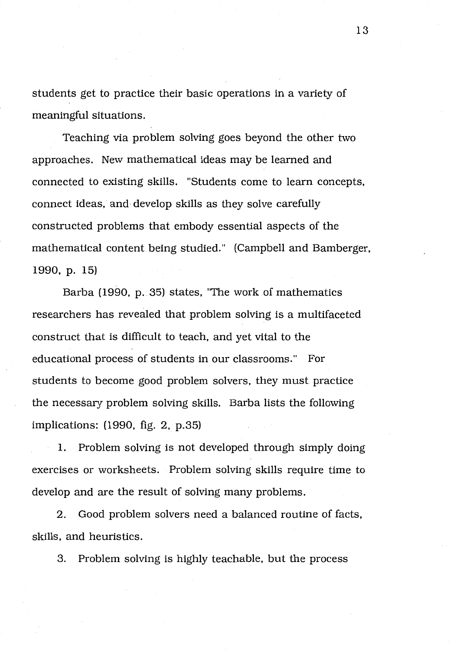students get to practice their basic operations in a variety of meaningful situations.

Teaching via problem solving goes beyond the other two approaches. New mathematical ideas may be learned and connected to existing skills. "Students come to learn concepts, connect ideas, and develop skills as they solve carefully constructed problems that embody essential aspects of the mathematical content being studied." (Campbell and Bamberger, 1990, p. 15)

Barba (1990, p. 35) states, "The work of mathematics researchers has revealed that problem solving is a multifaceted construct that is difficult to teach, and yet vital to the educational process of students in our classrooms." For students to become good problem solvers, they must practice the necessary problem solving skills. Barba lists the following implications: (1990, fig. 2, p.35)

1. Problem solving is not developed through simply doing exercises or worksheets. Problem solving skills require time to develop and are the result of solving many problems.

2. Good problem solvers need a balanced routine of facts, skills, and heuristics.

3. Problem solving is highly teachable, but the process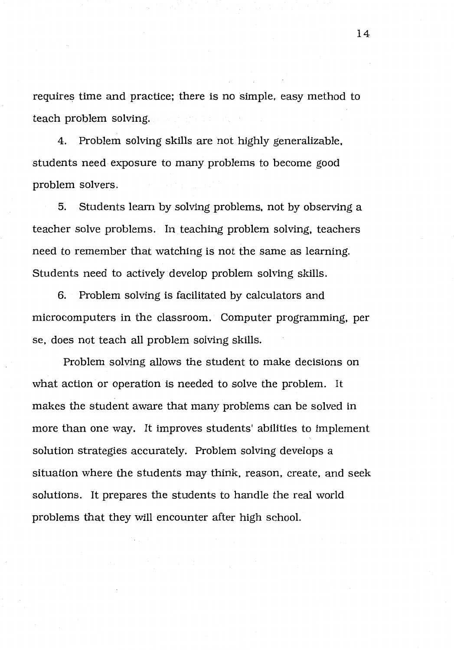requires time and practice; there is no simple, easy method to teach problem solving.

4. Problem solving skills are not highly generalizable, students need exposure to many problems to become good problem solvers.

5. Students learn by solving problems, not by observing a teacher solve problems. In teaching problem solving, teachers need to remember that watching is not the same as learning. Students need to actively develop problem solving skills.

6. Problem solving is facilitated by calculators and microcomputers in the classroom. Computer programming, per se, does not teach all problem solving skills.

Problem solving allows the student to make decisions on what action or operation is needed to solve the problem. It makes the student aware that many problems can be solved in more than one way. It improves students' abilities to implement solution strategies accurately. Problem solving develops a situation where the students may think, reason, create, and seek solutions. It prepares the students to handle the real world problems that they will encounter after high school.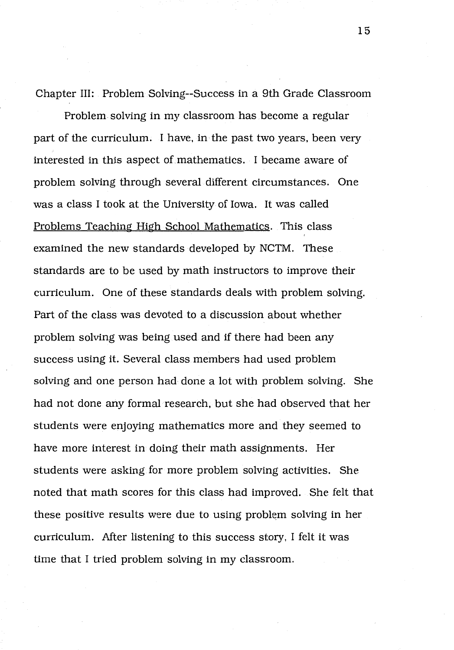Chapter III: Problem Solving--Success in a 9th Grade Classroom

Problem solving in my classroom has become a regular part of the curriculum. I have, in the past two years, been very interested in this aspect of mathematics. I became aware of problem solving through several different circumstances. One was a class I took at the University of Iowa. It was called Problems Teaching High School Mathematics. This class ' examined the new standards developed by NCTM. These standards are to be used by math instructors to improve their curriculum. One of these standards deals with problem solving. Part of the class was devoted to a discussion about whether problem solving was being used and if there had been any success using it. Several class members had used problem solving and one person had done a lot with problem solving. She had not done any formal research, but she had observed that her students were enjoying mathematics more and they seemed to have more interest in doing their math assignments. Her students were asking for more problem solving activities. She noted that math scores for this class had improved. She felt that these positive results were due to using problem solving in her curriculum. After listening to this success story, I felt it was time that I tried problem solving in my classroom.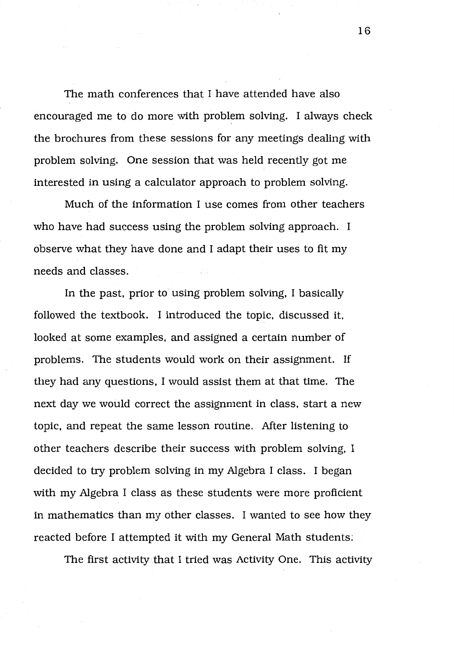The math conferences that I have attended have also encouraged me to do more with problem solving. I always check the brochures from these sessions for any meetings dealing with problem solving. One session that was held recently got me interested in using a calculator approach to problem solving.

Much of the information I use comes from other teachers who have had success using the problem solving approach. I observe what they have done and I adapt their uses to fit my needs and classes.

In the past, prior to using problem solving, I basically followed the textbook. I introduced the topic, discussed it, looked at some examples, and assigned a certain number of problems. The students would work on their assignment. If they had any questions, I would assist them at that time. The next day we would correct the assignment in class, start a new topic, and repeat the same lesson routine. After listening to other teachers describe their success with problem solving, I decided to try problem solving in my Algebra I class. I began with my Algebra I class as these students were more proficient in mathematics than my other classes. I wanted to see how they reacted before I attempted it with my General Math students;

The first activity that I tried was Activity One. This activity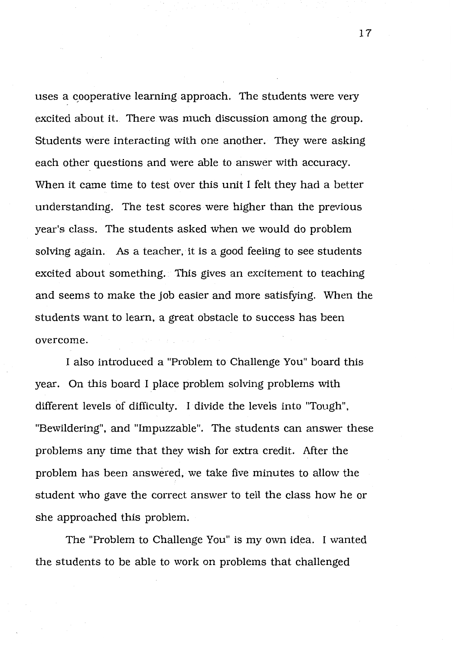uses a cooperative learning approach. The students were very excited about it. There was much discussion among the group. Students were interacting with one another. They were asking each other questions and were able to answer with accuracy. When it came time to test over this unit I felt they had a better understanding. The test scores were higher than the previous year's class. The students asked when we would do problem solving again. As a teacher, it is a good feeling to see students excited about something. This gives an excitement to teaching and seems to make the job easier and more satisfying. When the students want to learn, a great obstacle to success has been overcome.

I also introduced a "Problem to Challenge You" board this year. On this board I place problem solving problems with different levels of difficulty. I divide the levels into "Tough", "Bewildering", and "Impuzzable". The students can answer these problems any time that they wish for extra credit. After the problem has been answered, we take five minutes to allow the student who gave the correct answer to tell the class how he or she approached this problem.

The "Problem to Challenge You" is my own idea. I wanted the students to be able to work on problems that challenged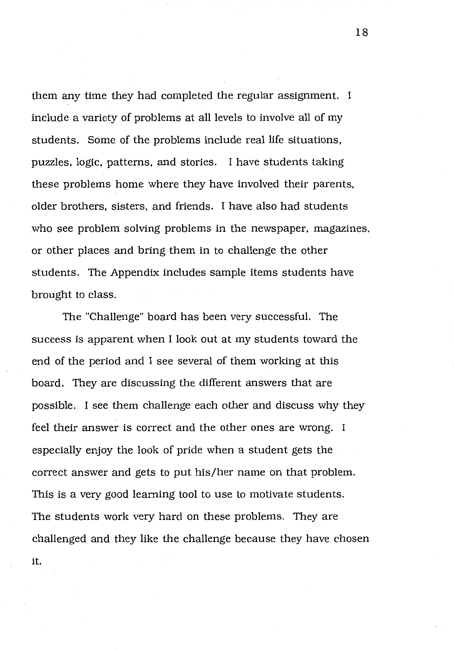them any time they had completed the regular assignment. I include a variety of problems at all levels to involve all of my students. Some of the problems include real life situations, puzzles, logic, patterns, and stories. I have students taking these problems home where they have involved their parents, older brothers, sisters, and friends. I have also had students who see problem solving problems in the newspaper, magazines, or other places and bring them in to challenge the other students. The Appendix includes sample items students have brought to class.

The "Challenge" board has been very successful. The success is apparent when I look out at my students toward the end of the period and I see several of them working at this board. They are discussing the different answers that are possible. I see them challenge each other and discuss why they feel their answer is correct and the other ones are wrong. I especially enjoy the look of pride when a student gets the correct answer and gets to put his/her name on that problem. This is a very good learning tool to use to motivate students. The students work very hard on these problems. They are challenged and they like the challenge because they have chosen it.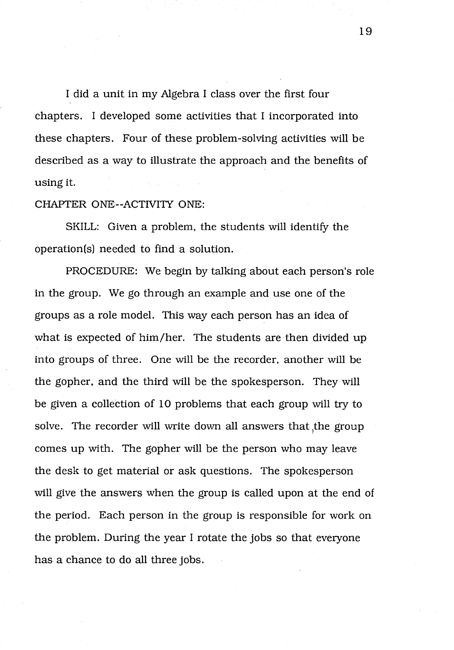I did a unit in my Algebra I class over the first four chapters. I developed some activities that I incorporated into these chapters. Four of these problem-solving activities will be described as a way to illustrate the approach and the benefits of using it.

CHAPTER ONE--ACTIVITY ONE:

SKILL: Given a problem, the students will identify the operation(s) needed to find a solution.

PROCEDURE: We begin by talking about each person's role in the group. We go through an example and use one of the groups as a role model. This way each person has an idea of what is expected of him/her. The students are then divided up into groups of three. One will be the recorder, another will be the gopher, and the third will be the spokesperson. They will be given a collection of 10 problems that each group will try to solve. The recorder will write down all answers that the group comes up with. The gopher will be the person who may leave the desk to get material or ask questions. The spokesperson will give the answers when the group is called upon at the end of the period. Each person in the group is responsible for work on the problem. During the year I rotate the jobs so that everyone has a chance to do all three jobs.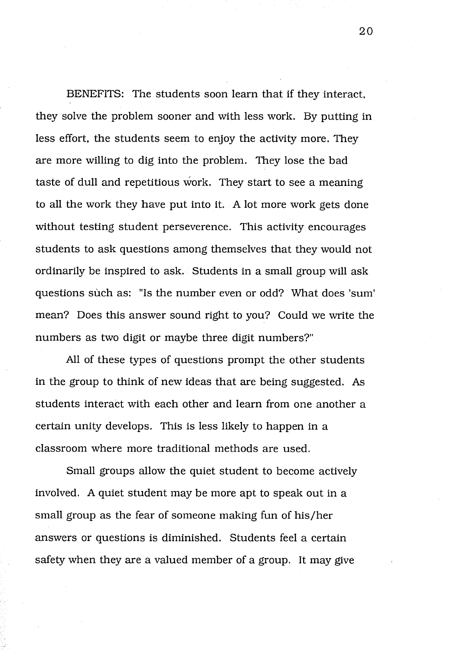BENEFITS: The students soon learn that if they interact, they solve the problem sooner and with less work. By putting in less effort, the students seem to enjoy the activity more. They are more willing to dig into the problem. They lose the bad taste of dull and repetitious work. They start to see a meaning to all the work they have put into it. A lot more work gets done without testing student perseverence. This activity encourages students to ask questions among themselves that they would not ordinarily be inspired to ask. Students in a small group will ask questions such as: "Is the number even or odd? What does 'sum' mean? Does this answer sound right to you? Could we write the numbers as two digit or maybe three digit numbers?"

All of these types of questions prompt the other students in the group to think of new ideas that are being suggested. As students interact with each other and learn from one another a certain unity develops. This is less likely to happen in a classroom where more traditional methods are used.

Small groups allow the quiet student to become actively involved. A quiet student may be more apt to speak out in a small group as the fear of someone making fun of his/her answers or questions is diminished. Students feel a certain safety when they are a valued member of a group. It may give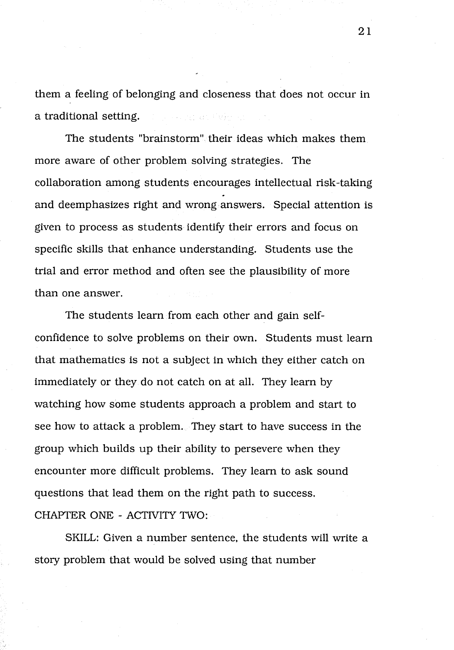them a feeling of belonging and closeness that does not occur in a traditional setting. and a state of the state

The students "brainstorm" their ideas which makes them more aware of other problem solving strategies. The collaboration among students encourages intellectual risk-taking and deemphasizes right and wrong answers. Special attention is given to process as students identify their errors and focus on specific skills that enhance understanding. Students use the trial and error method and often see the plausibility of more than one answer.

The students learn from each other and gain selfconfidence to solve problems on their own. Students must learn that mathematics is not a subject in which they either catch on immediately or they do not catch on at all. They learn by watching how some students approach a problem and start to see how to attack a problem. They start to have success in the group which builds up their ability to persevere when they encounter more difficult problems. They learn to ask sound questions that lead them on the right path to success. CHAPTER ONE - ACTNITY TWO:

SKILL: Given a number sentence, the students will write a story problem that would be solved using that number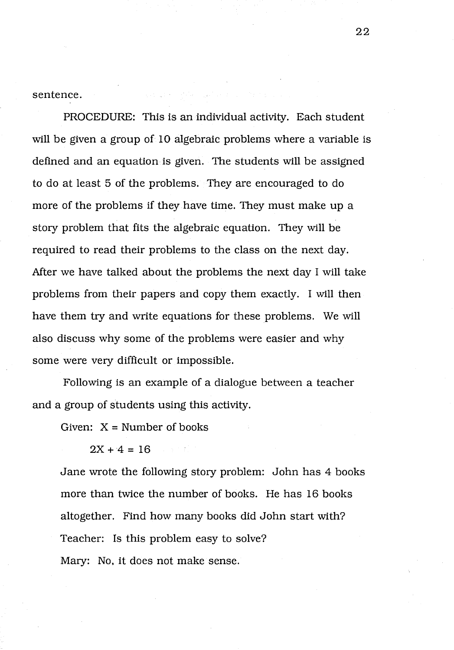sentence.

PROCEDURE: This is an individual activity. Each student will be given a group of 10 algebraic problems where a variable is defined and an equation is given. The students will be assigned to do at least 5 of the problems. They are encouraged to do more of the problems if they have time. They must make up a story problem that fits the algebraic equation. They will be required to read their problems to the class on the next day. After we have talked about the problems the next day I will take problems from their papers and copy them exactly. I will then have them try and write equations for these problems. We will also discuss why some of the problems were easier and why some were very difficult or impossible.

Following is an example of a dialogue between a teacher and a group of students using this activity.

Given:  $X =$  Number of books

 $2X + 4 = 16$ 

Jane wrote the following story problem: John has 4 books more than twice the number of books. He has 16 books altogether. Find how many books did John start with? Teacher: Is this problem easy to solve? Mary: No, it does not make sense.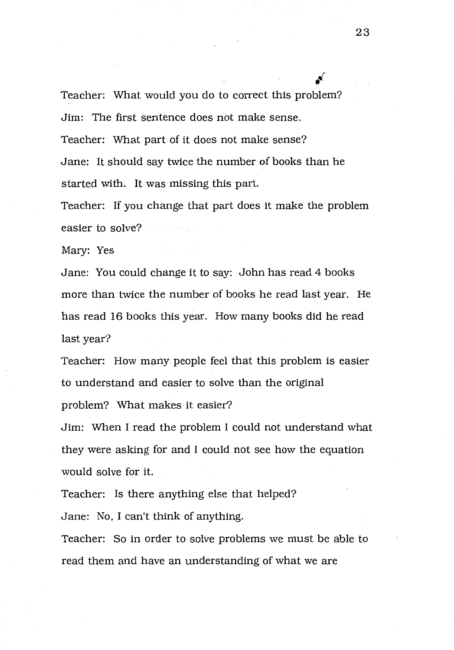$\boldsymbol{r}$ Teacher: What would you do to correct this problem? Jim: The first sentence does not make sense. Teacher: What part of it does not make sense? Jane: It should say twice the number of books than he started with. It was missing this part.

Teacher: If you change that part does it make the problem easier to solve?

Mary: Yes

Jane: You could change it to say: John has read 4 books more than twice the number of books he read last year. He has read 16 books this year. How many books did he read last year?

Teacher: How many people feel that this problem is easier to understand and easier to solve than the original problem? What makes it easier?

Jim: When I read the problem I could not understand what they were asking for and I could not see how the equation would solve for it.

Teacher: Is there anything else that helped?

Jane: No, I can't think of anything.

Teacher: So in order to solve problems we must be able to read them and have an understanding of what we are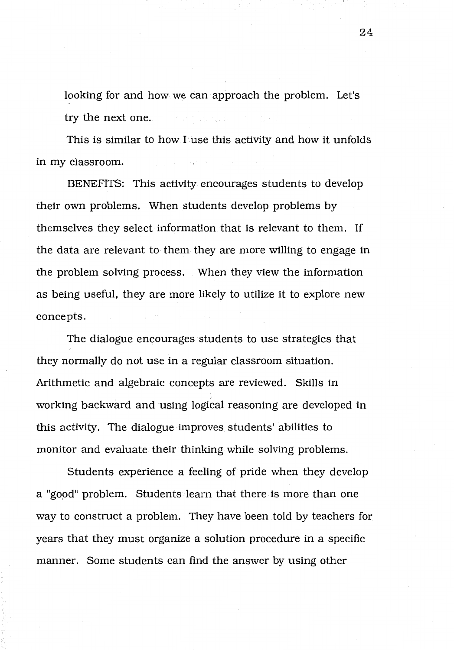looking for and how we can approach the problem. Let's try the next one.

This is similar to how I use this activity and how it unfolds in my classroom.

BENEFITS: This activity encourages students to develop their own problems. When students develop problems by themselves they select information that is relevant to them. If the data are relevant to them they are more willing to engage in the problem solving process. When they view the information as being useful, they are more likely to utilize it to explore new concepts.

The dialogue encourages students to use strategies that they normally do not use in a regular classroom situation. Arithmetic and algebraic concepts are reviewed. Skills in working backward and using logical reasoning are developed in this activity. The dialogue improves students' abilities to monitor and evaluate their thinking while solving problems.

Students experience a feeling of pride when they develop a "good" problem. Students learn that there is more than one way to construct a problem. They have been told by teachers for years that they must organize a solution procedure in a specific manner. Some students can find the answer by using other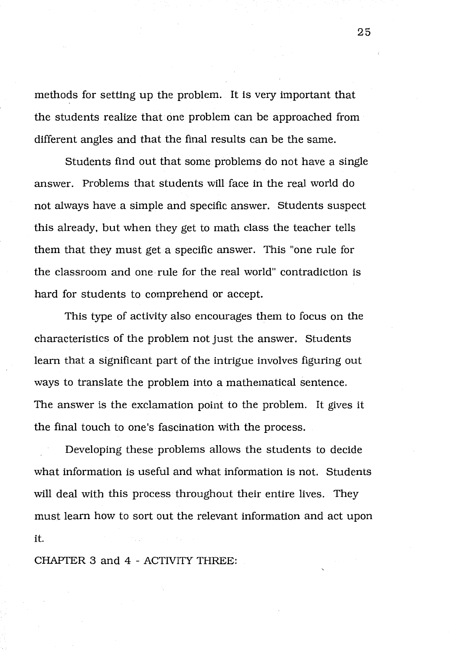methods for setting up the problem. It is very important that the students realize that one problem can be approached from different angles and that the final results can be the same.

Students find out that some problems do not have a single answer. Problems that students will face in the real world do not always have a simple and specific answer. Students suspect this already, but when they get to math class the teacher tells them that they must get a specific answer. This "one rule for the classroom and one rule for the real world" contradiction is hard for students to comprehend or accept.

This type of activity also encourages them to focus on the characteristics of the problem not just the answer. Students learn that a significant part of the intrigue involves figuring out ways to translate the problem into a mathematical sentence. The answer is the exclamation point to the problem. It gives it the final touch to one's fascination with the process.

Developing these· problems allows the students to decide what information is useful and what information is not. Students will deal with this process throughout their entire lives. They must learn how to sort out the relevant information and act upon it.

CHAPTER 3 and 4 - ACTIVITY THREE: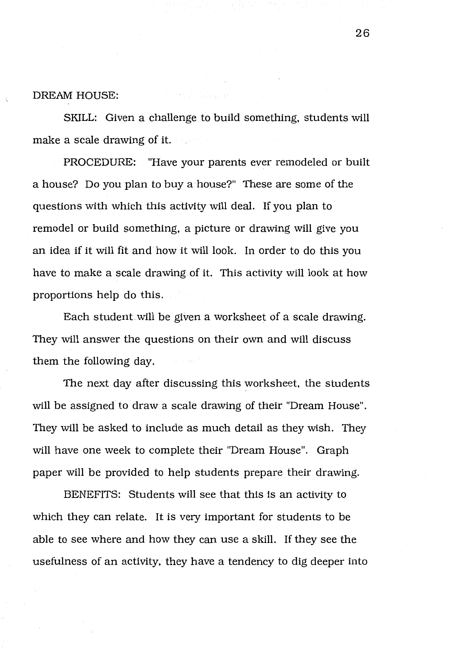DREAM HOUSE:

SKILL: Given a challenge to build something, students will make a scale drawing of it.

PROCEDURE: "Have your parents ever remodeled or built a house? Do you plan to buy a house?" These are some of the questions with which this activity will deal. If you plan to remodel or build something, a picture or drawing will give you an idea if it will fit and how it will look. In order to do this you have to make a scale drawing of it. This activity will look at how proportions help do this.

Each student.will be given a worksheet of a scale drawing. They will answer the questions on their own and will discuss them the following day.

The next day after discussing this worksheet, the students will be assigned to draw a scale drawing of their "Dream House". They will be asked to include as much detail as they wish. They will have one week to complete their "Dream House". Graph paper will be provided to help students prepare their drawing.

BENEFITS: Students will see that this is an activity to which they can relate. It is very important for students to be able to see where and how they can use a skill. If they see the usefulness of an activity, they have a tendency to dig deeper into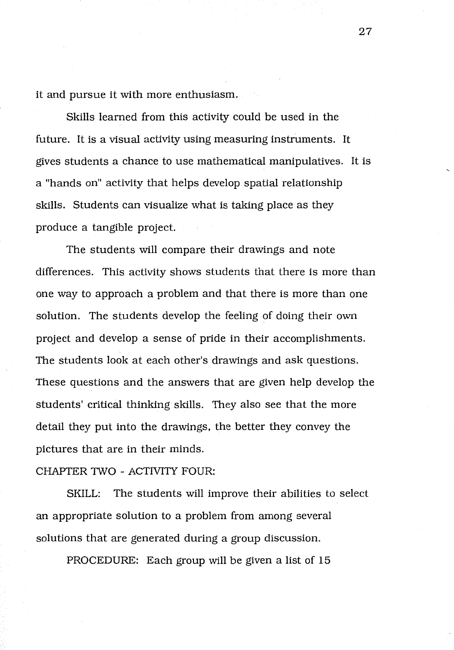it and pursue it with more enthusiasm.

Skills learned from this activity could be used in the future. It is a visual activity using measuring instruments. It gives students a chance to use mathematical manipulatives. It is a "hands on" activity that helps develop spatial relationship skills. Students can visualize what is taking place as they produce a tangible project.

The students will compare their drawings and note differences. This activity shows students that there is more than one way to approach a problem and that there is more than one solution. The students develop the feeling of doing their own project and develop a sense of pride in their accomplishments. The students look at each other's drawings and ask questions. These questions and the answers that are given help develop the students' critical thinking skills. They also see that the more detail they put into the drawings, the better they convey the pictures that are in their minds.

### CHAPTER TWO - ACTIVITY FOUR:

SKILL: The students will improve their abilities to select an appropriate solution to a problem from among several solutions that are generated during a group discussion.

PROCEDURE: Each group will be given a list of 15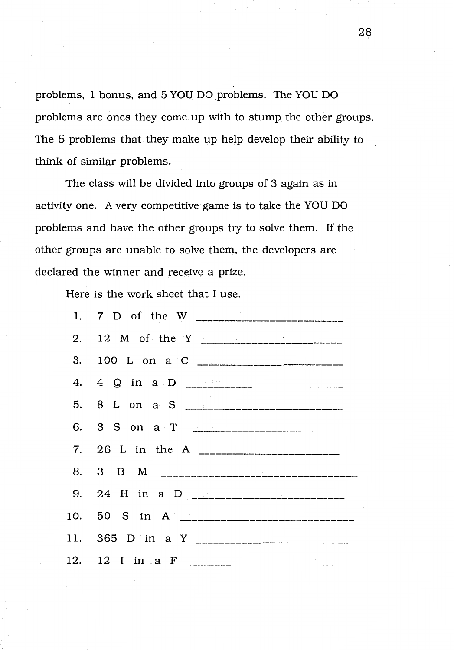problems, 1 bonus, and 5 YOU DO problems. The YOU DO problems are ones they come up with to stump the other groups. The 5 problems that they make up help develop their ability to think of similar problems.

The class will be divided into groups of 3 again as in activity one. A very competitive game is to take the YOU DO problems and have the other groups try to solve them. If the other groups are unable to solve them, the developers are declared the winner and receive a prize.

Here is the work sheet that I use.

| 3. 100 L on a C $\sim$                             |
|----------------------------------------------------|
|                                                    |
| 5. 8 L on a S <u>__________________________</u>    |
|                                                    |
| 7. 26 L in the A <u>__________________________</u> |
|                                                    |
|                                                    |
|                                                    |
|                                                    |
|                                                    |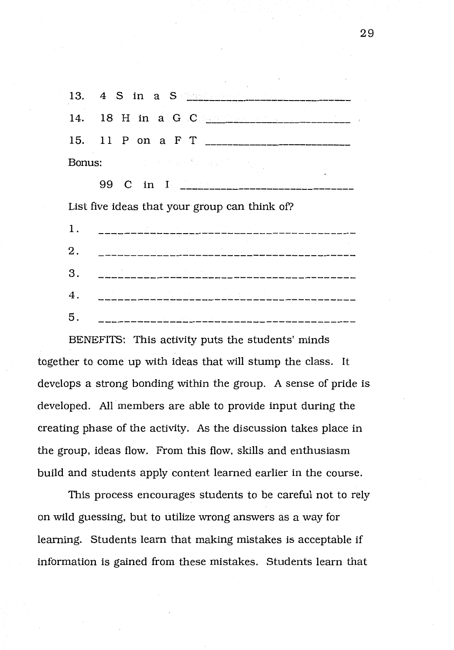13. 4 S in a September 1 14. 18 H in a G C 15. 11 P on a F T Bonus:

99 C in I <u>Common Common Common Common Common Common Common Common Common Common Common Common Common Common Common Common Common Common Common Common Common Common Common Common Common Common Common Common Common Common C</u> List five ideas that your group can think of? 1. 2. 

3. 4. 5. 

BENEFITS: This activity puts the students' minds together to come up with ideas that will stump the class. It develops a strong bonding within the group. A sense of pride is developed. All members are able to provide input during the creating phase of the activity. As the discussion takes place in the group, ideas flow. From this flow, skills and enthusiasm build and students apply content learned earlier in the course.

This process encourages students to be careful not to rely on wild guessing, but to utilize wrong answers as a way for learning. Students learn that making mistakes is acceptable if information is gained from these mistakes. Students learn that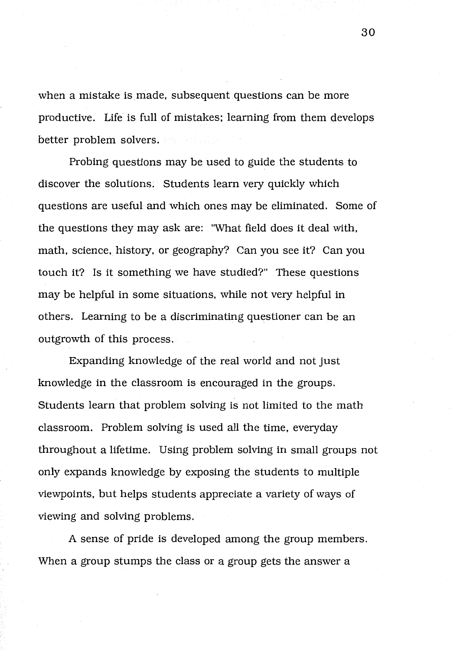when a mistake is made, subsequent questions can be more productive. Life is full of mistakes; learning from them develops better problem solvers.

Probing questions may be used to guide the students to discover the solutions. Students learn very quickly which questions are useful and which ones may be eliminated. Some of the questions they may ask are: "What field does it deal with, math, science, history, or geography? Can you see it? Can you touch it? Is it something we have studied?" These questions may be helpful in some situations, while not very helpful in others. Learning to be a discriminating questioner can be an outgrowth of this process.

Expanding knowledge of the real world and not just knowledge in the classroom is encouraged in the groups. Students learn that problem solving is not limited to the math classroom. Problem solving is used all the time, everyday throughout a lifetime. Using problem solving in small groups not only expands knowledge by exposing the students to multiple viewpoints, but helps students appreciate a variety of ways of viewing and solving problems.

A sense of pride is developed among the group members. When a group stumps the class or a group gets the answer a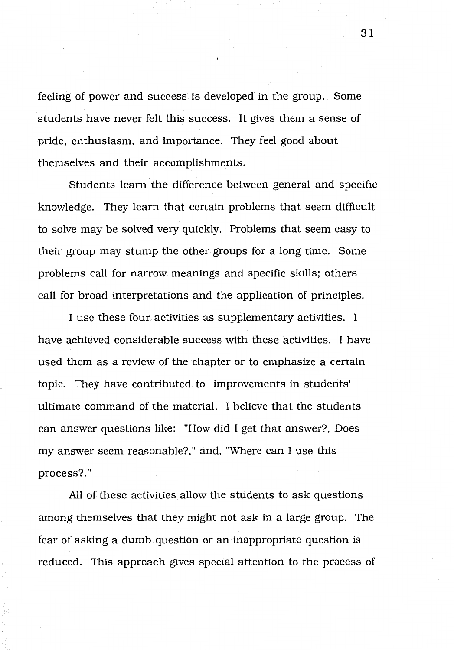feeling of power and success is developed in the group. Some students have never felt this success. It gives them a sense of pride, enthusiasm, and importance. They feel good about themselves and their accomplishments.

Students learn the difference between general and specific knowledge. They learn that certain problems that seem difficult to solve may be solved very quickly. Problems that seem easy to their group may stump the other groups for a long time. Some problems call for narrow meanings and specific skills; others call for broad interpretations and the application of principles.

I use these four activities as supplementary activities. I have achieved considerable success with these activities. I have used them as a review of the chapter or to emphasize a certain topic. They have contributed to improvements in students' ultimate command of the material. I believe that the students can answer questions like: "How did I get that answer?, Does my answer seem reasonable?," and, "Where can I use this process?."

All of these activities allow the students to ask questions among themselves that they might not ask in a large group. The fear of asking a dumb question or an inappropriate question is reduced. This approach gives special attention to the process of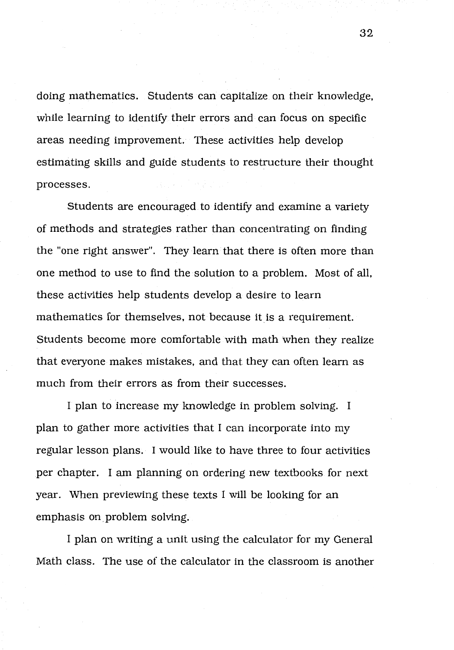doing mathematics. Students can capitalize on their knowledge, while learning to identify their errors and can focus on specific areas needing improvement. These activities help develop estimating skills and guide students to restructure their thought processes.

Students are encouraged to identify and examine a variety of methods and strategies rather than concentrating on finding the "one right answer". They learn that there is often more than one method to use to find the solution to a problem. Most of all, these activities help students develop a desire to learn mathematics for themselves, not because it is a requirement. Students become more comfortable with math when they realize that everyone makes mistakes, and that they can often learn as much from their errors as from their successes.

I plan to increase my knowledge in problem solving. I plan to gather more activities that I can incorporate into my regular lesson plans. I would like to have three to four activities per chapter. I am planning on ordering new textbooks for next year. When previewing these texts I will be looking for an emphasis on\_problem solving.

I plan on writing a unit using the calculator for my General Math class. The use of the calculator in the classroom is another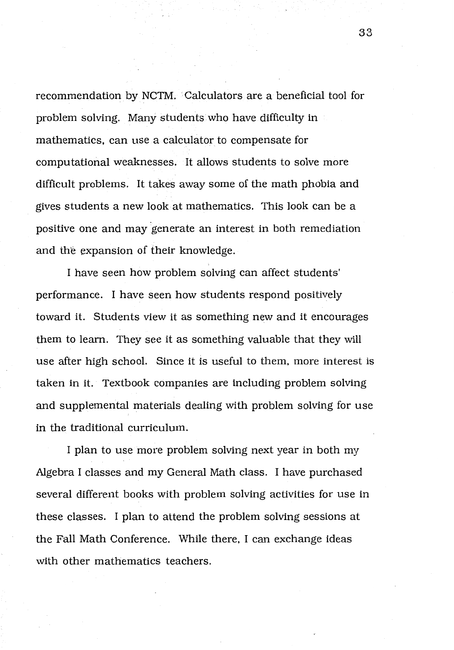recommendation by NCTM. · Calculators are a beneficial tool for problem solving. Many students who have difficulty in mathematics, can use a calculator to compensate for computational weaknesses. It allows students to solve more difficult problems. It takes away some of the math phobia and gives students a new look at mathematics. This look can be a positive one and may generate an interest in both remediation and the expansion of their knowledge.

I have seen how problem solving can affect students' performance. I have seen how students respond positively toward it. Students view it as something new and it encourages them to learn. They see it as something valuable that they will use after high school. Since it is useful to them, more interest is taken in it. Textbook companies are including problem solving and supplemental materials dealing with problem solving for use in the traditional curriculum.

I plan to use more problem solving next year in both my Algebra I classes and my General Math class. I have purchased several different books with problem solving activities for use in these classes. I plan to attend the problem solving sessions at the Fall Math Conference. While there, I can exchange ideas with other mathematics teachers.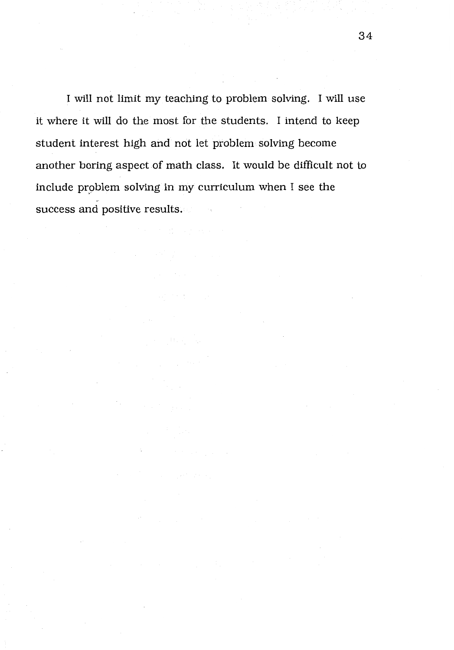I will not limit my teaching to problem solving. I will use it where it will do the most for the students. I intend to keep student interest high and not let problem solving become another boring aspect of math class. It would be difficult not to include problem solving in my curriculum when I see the success and positive results.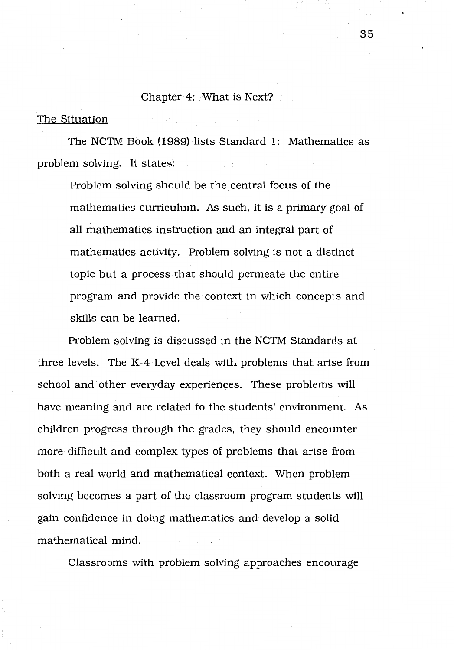### Chapter 4: What is Next?

the company paper of the company and company

#### The Situation

The NCTM Book (1989) lists Standard 1: Mathematics as problem solving. It states:

Problem solving should be the central focus of the mathematics curriculum. As such, it is a primary goal of all mathematics instruction and an integral part of mathematics activity. Problem solving is not a distinct topic but a process that should permeate the entire program and provide the context in which concepts and skills can be learned.

Problem solving is discussed in the NCTM Standards at three levels. The K-4 Level deals with problems that arise from school and other everyday experiences. These problems will have meaning and are related to the students' environment. As children progress through the grades, they should encounter more difficult and complex types of problems that arise from both a real world and mathematical context. When problem solving becomes a part of the classroom program students will gain confidence in doing mathematics and develop a solid mathematical mind.

Classrooms with problem solving approaches encourage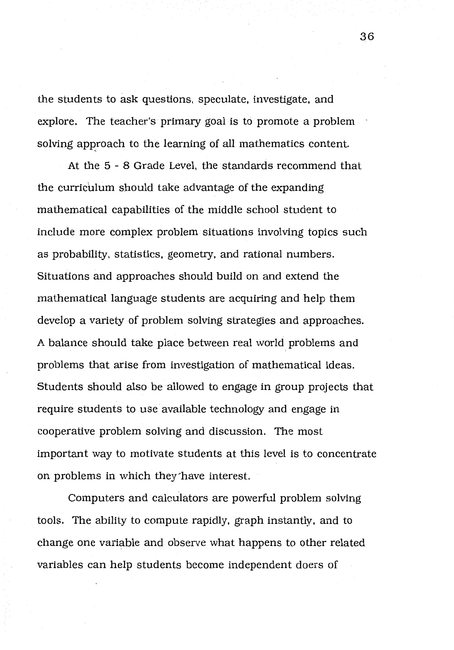the students to ask questions, speculate, investigate, and explore. The teacher's primary goal is to promote a problem solving approach to the learning of all mathematics content.

At the 5 - 8 Grade Level, the standards recommend that the curriculum should take advantage of the expanding mathematical capabilities of the middle school student to include more complex problem situations involving topics such as probability, statistics, geometry, and rational numbers. Situations and approaches should build on and extend the mathematical language students are acquiring and help them develop a variety of problem solving strategies and approaches. A balance should take place between real world problems and problems that arise from investigation of mathematical ideas. Students should also be allowed to engage in group projects that require students to use available technology and engage in cooperative problem solving and discussion. The most important way to motivate students at this level is to concentrate on problems in which they~have interest.

Computers and calculators are powerful problem solving tools. The ability to compute rapidly, graph instantly, and to change one variable and observe what happens to other related variables can help students become independent doers of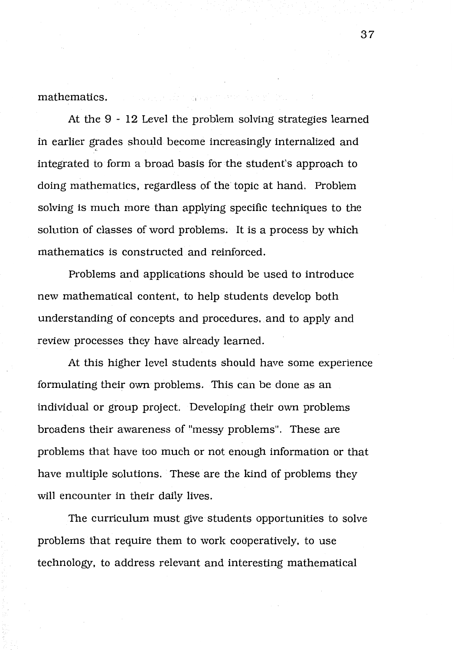mathematics.

At the 9 - 12 Level the problem solving strategies learned in earlier grades should become increasingly internalized and integrated to form a broad basis for the student's approach to doing mathematics, regardless of the topic at hand. Problem solving is much more than applying specific techniques to the solution of classes of word problems. It is a process by which mathematics is constructed and reinforced.

Problems and applications should be used to introduce new mathematical content, to help students develop both understanding of concepts and procedures, and to apply and review processes they have already learned.

At this higher level students should have some experience formulating their own problems. This can be done as an individual or group project. Developing their own problems broadens their awareness of "messy problems". These are problems that have too much or not enough information or that have multiple solutions. These are the kind of problems they will encounter in their daily lives.

The curriculum must give students opportunities to solve problems that require them to work cooperatively, to use technology, to address relevant and interesting mathematical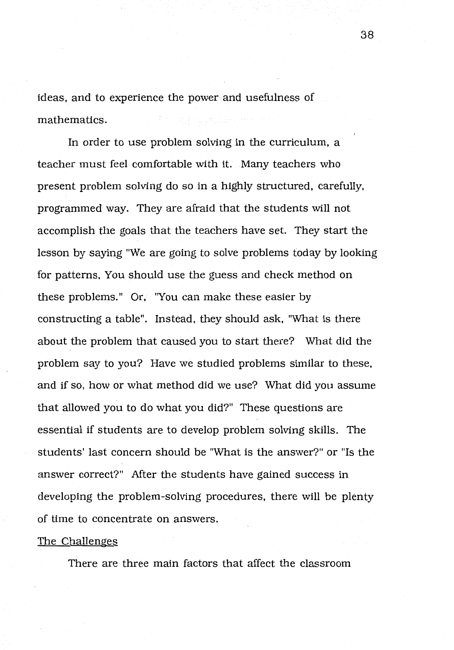ideas, and to experience the power and usefulness of 第四次的现在分 mathematics.

In order to use problem solving in the curriculum, a teacher must feel comfortable with it. Many teachers who present problem solving do so in a highly structured, carefully, programmed way. They are afraid that the students will not accomplish the goals that the teachers have set. They start the lesson by saying "We are going to solve problems today by looking for patterns, You should use the guess and check method on these problems." Or, "You can make these easier by constructing a table". Instead, they should ask, "What is there about the problem that caused you to start there? What did the problem say to you? Have we studied problems similar to these, and if so, how or what method did we use? What did you assume that allowed you to do what you did?" These questions are essential if students are to develop problem solving skills. The students' last concern should be "What is the answer?" or "Is the answer correct?" After the students have gained success in developing the problem-solving procedures, there will be plenty of time to concentrate on answers.

#### The Challenges

There are three main factors that affect the classroom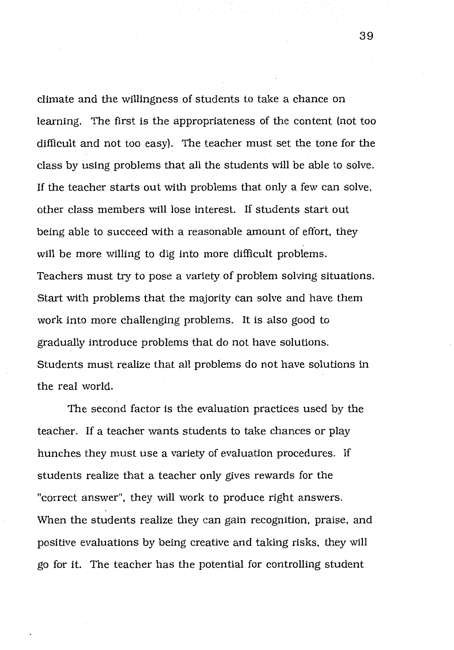climate and the willingness of students to take a chance on learning. The first is the appropriateness of the content (not too difficult and not too easy). The teacher must set the tone for the class by using problems that all the students will be able to solve. If the teacher starts out with problems that only a few can solve, other class members will lose interest. If students start out being able to succeed with a reasonable amount of effort, they will be more willing to dig into more difficult problems. Teachers must try to pose a variety of problem solving situations. Start with problems that the majority can solve and have them work into more challenging problems. It is also good to gradually introduce problems that do not have solutions. Students must realize that all problems do not have solutions in the real world.

The second factor is the evaluation practices used by the teacher. If a teacher wants students to take chances or play hunches they must use a variety of evaluation procedures. If students realize that a teacher only gives rewards for the "correct answer", they will work to produce right answers. When the students realize they can gain recognition, praise, and positive evaluations by being creative and taking risks, they will go for it. The teacher has the potential for controlling student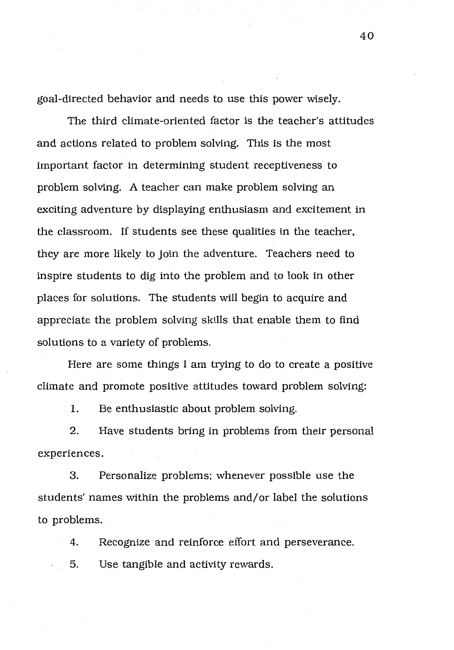goal-directed behavior and needs to use this power wisely.

The third climate-oriented factor is the teacher's attitudes and actions related to problem solving. This is the most important factor in determining student receptiveness to problem solving. A teacher can make problem solving an exciting adventure by displaying enthusiasm and excitement in the classroom. If students see these qualities in the teacher, they are more likely to Join the adventure. Teachers need to inspire students to dig into the problem and to look in other places for solutions. The students will begin to acquire and appreciate the problem solving skills that enable them to find solutions to a variety of problems.

Here are some things I am trying to do to create a positive climate and promote positive attitudes toward problem solving:

1. Be enthusiastic about problem solving.

2. Have students bring in problems from their personal experiences.

3. Personalize problems: whenever possible use the students' names within the problems and/or label the solutions to problems.

4. Recognize and reinforce effort and perseverance.

5. Use tangible and activity rewards.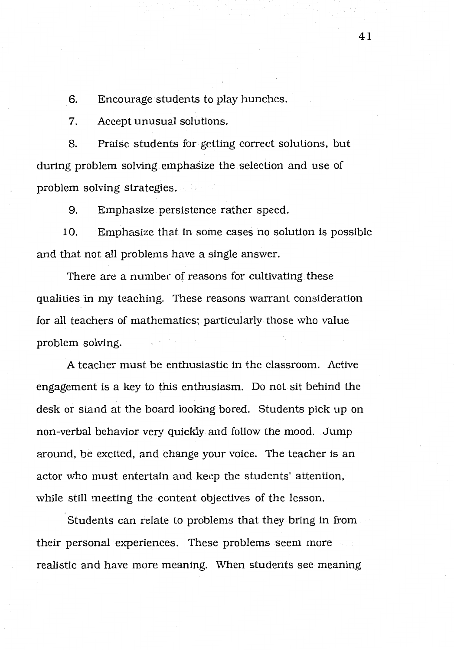6. Encourage students to play hunches.

7. Accept unusual solutions.

8. Praise students for getting correct solutions, but during problem solving emphasize the selection and use of problem solving strategies.

9. Emphasize persistence rather speed.

10. Emphasize that in some cases no solution is possible and that not all problems have a single answer.

There are a number of reasons for cultivating these qualities in my teaching. These reasons warrant consideration for all teachers of mathematics: particularly those who value problem solving.

A teacher must be enthusiastic in the classroom. Active engagement is a key to this enthusiasm. Do not sit behind the desk or stand at the board looking bored. Students pick up on non-verbal behavior very quickly and follow the mood. Jump around, be excited, and change your voice. The teacher is an actor who must entertain and keep the students' attention, while still meeting the content objectives of the lesson.

Students can relate to problems that they bring in from their personal experiences. These problems seem more realistic and have more meaning. When students see meaning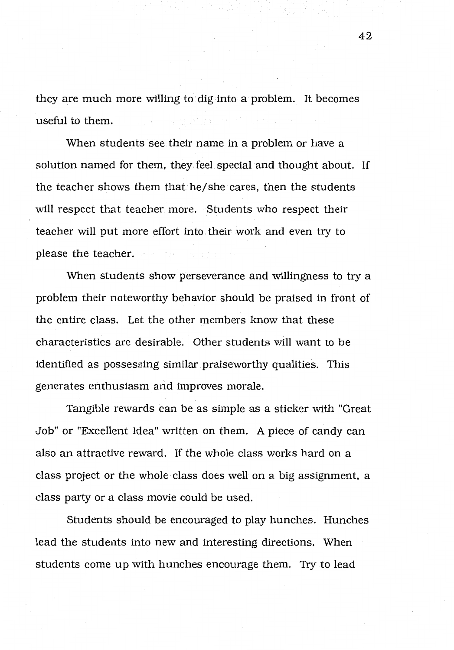they are much more willing to dig into a problem. It becomes useful to them.

When students see their name in a problem or have a solution named for them, they feel special and thought about. If the teacher shows them that he/ she cares, then the students will respect that teacher more. Students who respect their teacher will put more effort into their work and even try to please the teacher.

When students show perseverance and willingness to try a problem their noteworthy behavior should be praised in front of the entire class. Let the other members know that these characteristics are desirable. Other students will want to be identified as possessing similar praiseworthy qualities. This generates enthusiasm and improves morale.

Tangible rewards can be as simple as a sticker with "Great Job" or "Excellent Idea" written on them. A piece of candy can also an attractive reward. If the whole class works hard on a class project or the whole class does well on a big assignment, a class party or a class movie could be used.

Students should be encouraged to play hunches. Hunches lead the students into new and interesting directions. When students come up with hunches encourage them. Try to lead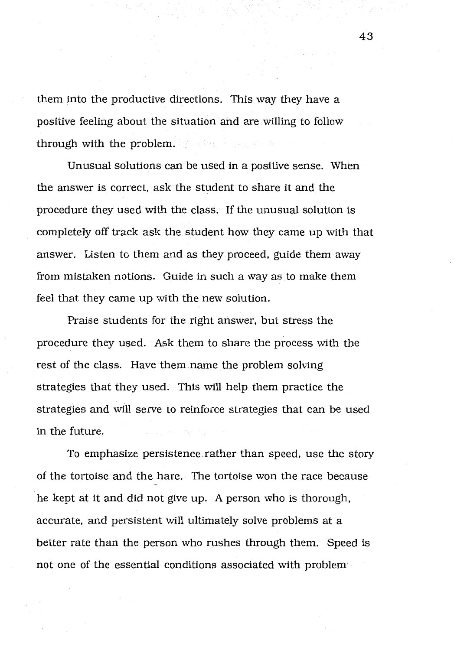them into the productive directions. This way they have a positive feeling about the situation and are willing to follow through with the problem.

Unusual solutions can be used in a positive sense. When the answer is correct, ask the student to share it and the procedure they used with the class. If the unusual solution is completely off track ask the student how they came up with that answer. Listen to them and as they proceed, guide them away from mistaken notions. Guide in such a way as to make them feel that they came up with the new solution.

Praise students for the right answer, but stress the procedure they used. Ask them to share the process with the rest of the class. Have them name the problem solving strategies that they used. This will help them practice the strategies and will serve to reinforce strategies that can be used in the future.

To emphasize persistence rather than speed, use the story of the tortoise and the hare. The tortoise won the race because he kept at it and did not give up. A person who is thorough, accurate, and persistent will ultimately solve problems at a better rate than the person who rushes through them. Speed is not one of the essential conditions associated with problem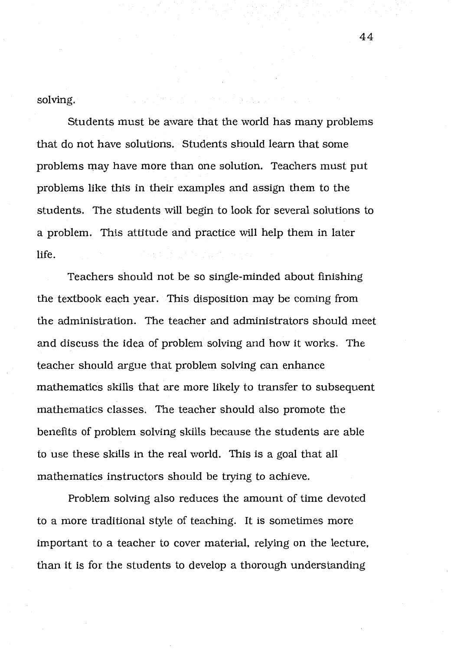solving.

Students must be aware that the world has many problems that do not have solutions. Students should learn that some problems may have more than one solution. Teachers must put problems like this in their examples and assign them to the students. The students will begin to look for several solutions to a problem. This attitude and practice will help them in later life.

Teachers should not be so single-minded about finishing the textbook each year. This disposition may be coming from the administration. The teacher and administrators should meet and discuss the idea of problem solving and how it works. The teacher should argue that problem solving can enhance mathematics skills that are more likely to transfer to subsequent mathematics classes. The teacher should also promote the benefits of problem solving skills because the students are able to use these skills in the real world. This is a goal that all mathematics instructors should be trying to achieve.

Problem solving also reduces the amount of time devoted to a more traditional style of teaching. It is sometimes more important to a teacher to cover material, relying on the lecture, than it is for the students to develop a thorough understanding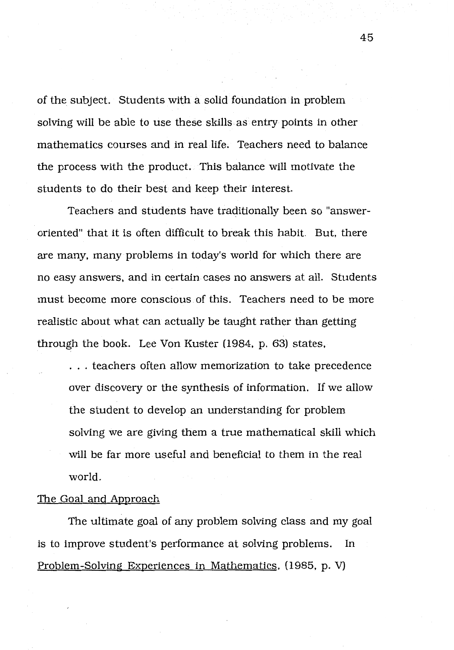of the subject. Students with a solid foundation in problem solving will be able to use these skills as entry points in other mathematics courses and in real life. Teachers need to balance the process with the product. This balance will motivate the students to do their best and keep their interest.

Teachers and students have traditionally been so "answeroriented" that it is often difficult to break this habit. But, there are many, many problems in today's world for which there are no easy answers, and in certain cases no answers at all. Students must become more conscious of this. Teachers need to be more realistic about what can actually be taught rather than getting through the book. Lee Von Kuster (1984, p. 63) states,

. . . teachers often allow memorization to take precedence over discovery or the synthesis of information. If we allow the student to develop an understanding for problem solving we are giving them a true mathematical skill which will be far more useful and beneficial to them in the real world.

## The Goal and Approach

The ultimate goal of any problem solving class and my goal is to improve student's performance at solving problems. In Problem-Solving Experiences in Mathematics, (1985, p. V)

45

--------- - -~--------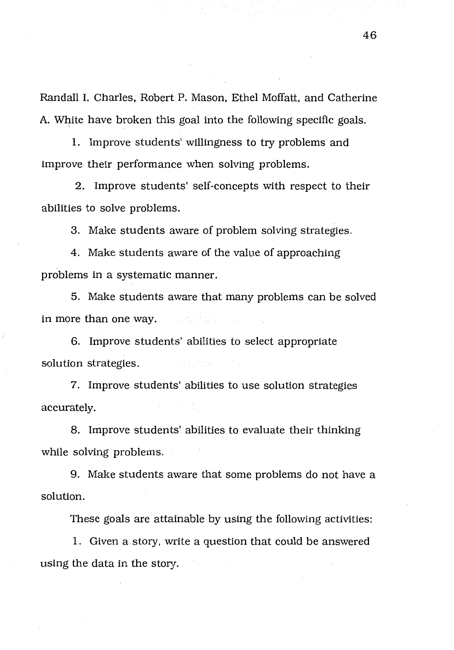Randall I. Charles, Robert P. Mason, Ethel Moffatt, and Catherine A. White have broken this goal into the following specific goals.

1. Improve students' willingness to try problems and improve their performance when solving problems.

2. Improve students' self-concepts with respect to their abilities to solve problems.

3. Make students aware of problem solving strategies.

4. Make students aware of the value of approaching problems in a systematic manner.

5. Make students aware that many problems can be solved in more than one way. in webs

6. Improve students' abilities to select appropriate solution strategies. 经常的 网络法国家组织家组织

7. Improve students' abilities to use solution strategies accurately.

8. Improve students' abilities to evaluate their thinking while solving problems.

9. Make students aware that some problems do not have a solution.

These goals are attainable by using the following activities:

1. Given a story, write a question that could be answered using the data in the story.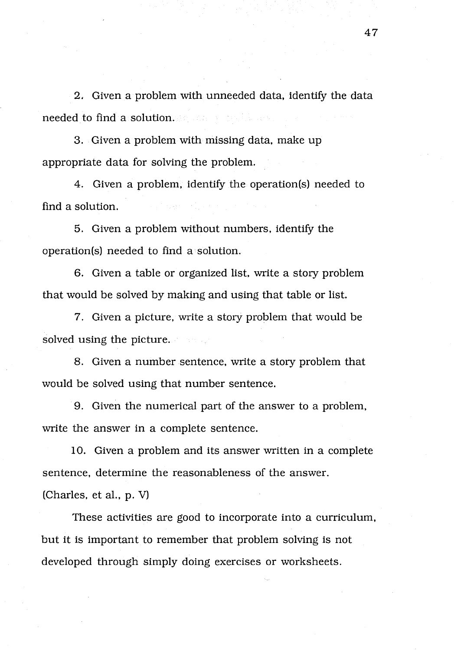2, Given a problem with unneeded data, identify the data needed to find a solution.

3. Given a problem with missing data, make up appropriate data for solving the problem.

4. Given a problem, identify the operation(s) needed to find a solution.

5. Given a problem without numbers, identify the operation(s) needed to find a solution.

6. Given a table or organized list, write a story problem that would be solved by making and using that table or list.

7. Given a picture, write a story problem that would be solved using the picture.

8. Given a number sentence, write a story problem that would be solved using that number sentence.

9. Given the numerical part of the answer to a problem, write the answer in a complete sentence.

10. Given a problem and its answer written in a complete sentence, determine the reasonableness of the answer. (Charles, et al., p. V)

These activities are good to incorporate into a curriculum, but it is important to remember that problem solving is not developed through simply doing exercises or worksheets.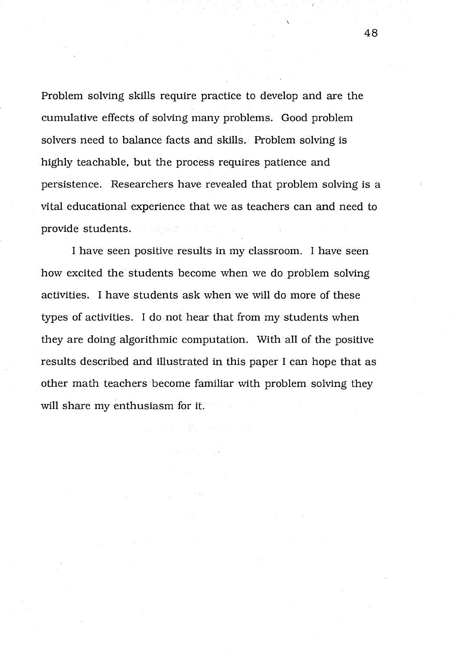Problem solving skills require practice to develop and are the cumulative effects of solving many problems. Good problem solvers need to balance facts and skills. Problem solving is highly teachable, but the process requires patience and persistence. Researchers have revealed that problem solving is a vital educational experience that we as teachers can and need to provide students.

I have seen positive results in my classroom. I have seen how excited the students become when we do problem solving activities. I have students ask when we will do more of these types of activities. I do not hear that from my students when they are doing algorithmic computation. With all of the positive results described and illustrated in this paper I can hope that as other math teachers become familiar with problem solving they will share my enthusiasm for it.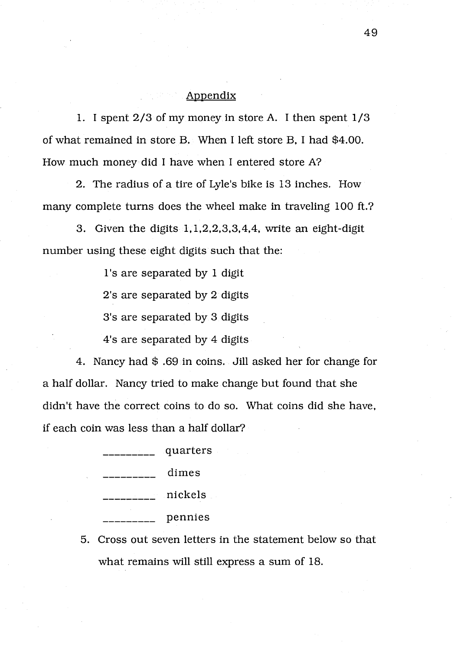## Appendix

1. I spent 2/3 of my money in store A. I then spent 1/3 of what remained in store B. When I left store B, I had \$4.00. How much money did I have when I entered store A?

2. The radius of a tire of Lyle's bike is 13 inches. How many complete turns does the wheel make in traveling 100 ft.?

3. Given the digits 1, 1,2,2,3,3,4,4, write an eight-digit number using these eight digits such that the:

l's are separated by 1 digit

2's are separated by 2 digits

3's are separated by 3 digits

4's are separated by 4 digits

4. Nancy had\$ .69 in coins. Jill asked her for change for a half dollar. Nancy tried to make change but found that she didn't have the correct coins to do so. What coins did she have, if each coin was less than a half dollar?

| quarters |
|----------|
| dimes    |
| nickels  |
| pennies  |

5. Cross out seven letters in the statement below so that what remains will still express a sum of 18.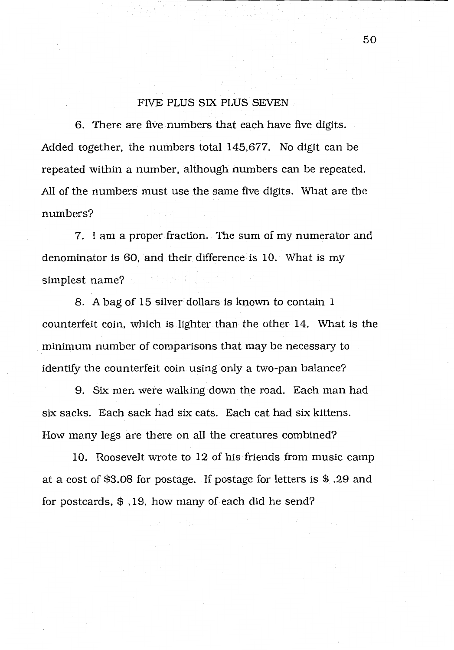#### FIVE PLUS SIX PLUS SEVEN

6. There are five numbers that each have five digits. Added together, the numbers total 145,677. No digit can be repeated within a number, although numbers can be repeated. All of the numbers must use the same five digits. What are the numbers?

7. I am a proper fraction. The sum of my numerator and denominator is 60, and their difference is 10. What is my simplest name? 여자 나무 화를 된 비교에 있네.

8. A bag of 15 silver dollars is known to contain 1 counterfeit coin, which is lighter than the other 14. What is the minimum number of comparisons that may be necessary to identify the counterfeit coin using only a two-pan balance?

9. Six men were walking down the road. Each man had six sacks. Each sack had six cats. Each cat had six kittens. How many legs are there on all the creatures combined?

10. Roosevelt wrote to 12 of his friends from music camp at a cost of \$3.08 for postage. If postage for letters is \$ .29 and for postcards, \$ . 19, how many of each did he send?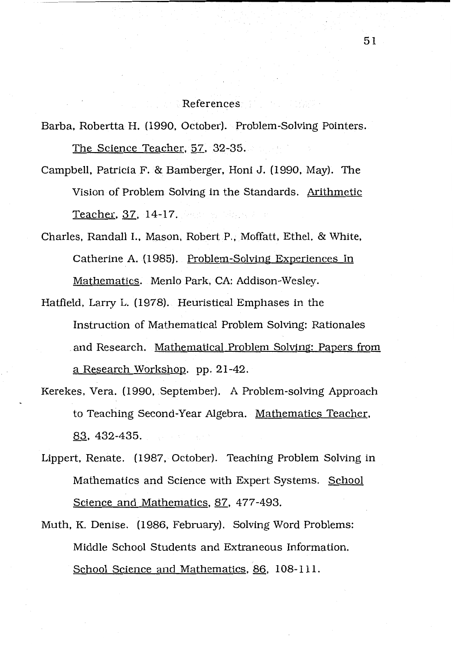### References and the settlement

Barba, Robertta H. (1990, October). Problem-Solving Pointers. The Science Teacher, 57, 32-35.

- Campbell, Patricia F. & Bamberger, Honi J. (1990, May). The Vision of Problem Solving in the Standards. Arithmetic Teacher, 37, 14-17.
- Charles, Randall I., Mason, Robert P., Moffatt, Ethel, & White, Catherine A. (1985). Problem-Solving Experiences In Mathematics. Menlo Park, CA: Addison-Wesley.
- Hatfield, Larry L. (1978). Heuristical Emphases in the Instruction of Mathematical Problem Solving: Rationales and Research. Mathematical Problem Solving: Papers from a Research Workshop. pp. 21-42.
- Kerekes, Vera. (1990, September). A Problem-solving Approach to Teaching Second-Year Algebra. Mathematics Teacher, 83, 432-435.
- Lippert, Renate. (1987, October). Teaching Problem Solving in Mathematics and Science with Expert Systems. School Science and Mathematics, 87, 477-493.
- Muth, K. Denise. (1986, February). Solving Word Problems: Middle School Students and Extraneous Information. School Science and Mathematics, 86, 108-111.